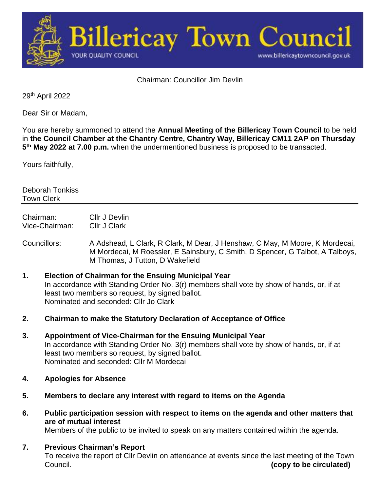

Chairman: Councillor Jim Devlin

29th April 2022

Dear Sir or Madam,

You are hereby summoned to attend the **Annual Meeting of the Billericay Town Council** to be held in **the Council Chamber at the Chantry Centre, Chantry Way, Billericay CM11 2AP on Thursday 5 th May 2022 at 7.00 p.m.** when the undermentioned business is proposed to be transacted.

Yours faithfully,

Deborah Tonkiss Town Clerk

Chairman: Cllr J Devlin Vice-Chairman: Cllr J Clark

Councillors: A Adshead, L Clark, R Clark, M Dear, J Henshaw, C May, M Moore, K Mordecai, M Mordecai, M Roessler, E Sainsbury, C Smith, D Spencer, G Talbot, A Talboys, M Thomas, J Tutton, D Wakefield

- **1. Election of Chairman for the Ensuing Municipal Year** In accordance with Standing Order No. 3(r) members shall vote by show of hands, or, if at least two members so request, by signed ballot. Nominated and seconded: Cllr Jo Clark
- **2. Chairman to make the Statutory Declaration of Acceptance of Office**
- **3. Appointment of Vice-Chairman for the Ensuing Municipal Year** In accordance with Standing Order No. 3(r) members shall vote by show of hands, or, if at least two members so request, by signed ballot. Nominated and seconded: Cllr M Mordecai
- **4. Apologies for Absence**
- **5. Members to declare any interest with regard to items on the Agenda**
- **6. Public participation session with respect to items on the agenda and other matters that are of mutual interest**

Members of the public to be invited to speak on any matters contained within the agenda.

**7. Previous Chairman's Report** To receive the report of Cllr Devlin on attendance at events since the last meeting of the Town Council. **(copy to be circulated)**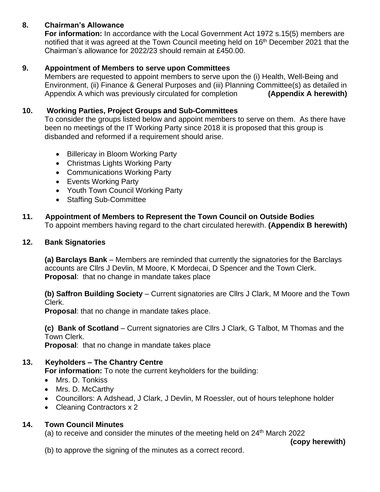# **8. Chairman's Allowance**

**For information:** In accordance with the Local Government Act 1972 s.15(5) members are notified that it was agreed at the Town Council meeting held on 16<sup>th</sup> December 2021 that the Chairman's allowance for 2022/23 should remain at £450.00.

# **9. Appointment of Members to serve upon Committees**

Members are requested to appoint members to serve upon the (i) Health, Well-Being and Environment, (ii) Finance & General Purposes and (iii) Planning Committee(s) as detailed in Appendix A which was previously circulated for completion **(Appendix A herewith)**

# **10. Working Parties, Project Groups and Sub-Committees**

To consider the groups listed below and appoint members to serve on them. As there have been no meetings of the IT Working Party since 2018 it is proposed that this group is disbanded and reformed if a requirement should arise.

- Billericay in Bloom Working Party
- Christmas Lights Working Party
- Communications Working Party
- Events Working Party
- Youth Town Council Working Party
- Staffing Sub-Committee
- **11. Appointment of Members to Represent the Town Council on Outside Bodies** To appoint members having regard to the chart circulated herewith. **(Appendix B herewith)**

# **12. Bank Signatories**

**(a) Barclays Bank** – Members are reminded that currently the signatories for the Barclays accounts are Cllrs J Devlin, M Moore, K Mordecai, D Spencer and the Town Clerk. **Proposal**: that no change in mandate takes place

**(b) Saffron Building Society** – Current signatories are Cllrs J Clark, M Moore and the Town Clerk.

**Proposal**: that no change in mandate takes place.

**(c) Bank of Scotland** – Current signatories are Cllrs J Clark, G Talbot, M Thomas and the Town Clerk.

**Proposal**: that no change in mandate takes place

# **13. Keyholders – The Chantry Centre**

**For information:** To note the current keyholders for the building:

- Mrs. D. Tonkiss
- Mrs. D. McCarthy
- Councillors: A Adshead, J Clark, J Devlin, M Roessler, out of hours telephone holder
- Cleaning Contractors x 2

# **14. Town Council Minutes**

(a) to receive and consider the minutes of the meeting held on 24<sup>th</sup> March 2022

**(copy herewith)**

(b) to approve the signing of the minutes as a correct record.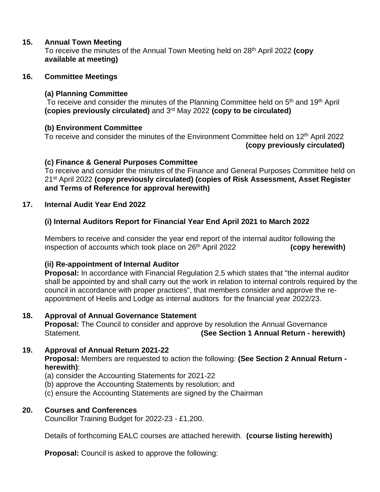#### **15. Annual Town Meeting**

To receive the minutes of the Annual Town Meeting held on 28 th April 2022 **(copy available at meeting)**

#### **16. Committee Meetings**

#### **(a) Planning Committee**

To receive and consider the minutes of the Planning Committee held on 5<sup>th</sup> and 19<sup>th</sup> April **(copies previously circulated)** and 3rd May 2022 **(copy to be circulated)**

#### **(b) Environment Committee**

To receive and consider the minutes of the Environment Committee held on 12<sup>th</sup> April 2022 **(copy previously circulated)**

#### **(c) Finance & General Purposes Committee**

To receive and consider the minutes of the Finance and General Purposes Committee held on 21st April 2022 **(copy previously circulated) (copies of Risk Assessment, Asset Register and Terms of Reference for approval herewith)**

#### **17. Internal Audit Year End 2022**

# **(i) Internal Auditors Report for Financial Year End April 2021 to March 2022**

Members to receive and consider the year end report of the internal auditor following the inspection of accounts which took place on 26th April 2022 **(copy herewith)**

#### **(ii) Re-appointment of Internal Auditor**

**Proposal:** In accordance with Financial Regulation 2.5 which states that "the internal auditor shall be appointed by and shall carry out the work in relation to internal controls required by the council in accordance with proper practices", that members consider and approve the reappointment of Heelis and Lodge as internal auditors for the financial year 2022/23.

# **18. Approval of Annual Governance Statement**

**Proposal:** The Council to consider and approve by resolution the Annual Governance Statement. **(See Section 1 Annual Return - herewith)**

# **19. Approval of Annual Return 2021-22**

**Proposal:** Members are requested to action the following: **(See Section 2 Annual Return herewith)**:

- (a) consider the Accounting Statements for 2021-22
- (b) approve the Accounting Statements by resolution; and
- (c) ensure the Accounting Statements are signed by the Chairman

# **20. Courses and Conferences**

Councillor Training Budget for 2022-23 - £1,200.

Details of forthcoming EALC courses are attached herewith. **(course listing herewith)**

**Proposal:** Council is asked to approve the following: